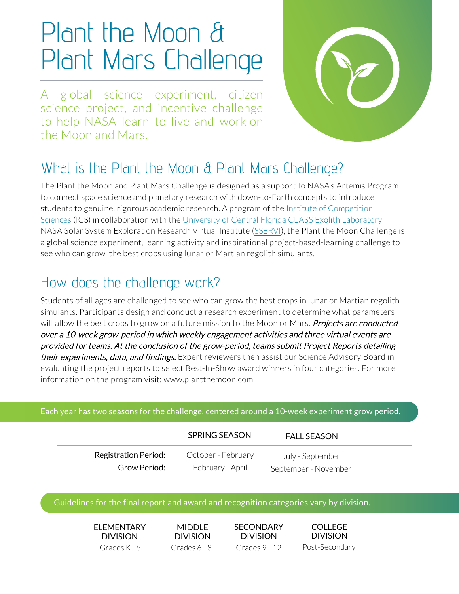# Plant the Moon & Plant Mars Challenge

A global science experiment, citizen science project, and incentive challenge to help NASA learn to live and work on the Moon and Mars.



### What is the Plant the Moon & Plant Mars Challenge?

The Plant the Moon and Plant Mars Challenge is designed as a support to NASA's Artemis Program to connect space science and planetary research with down-to-Earth concepts to introduce [students to genuine, rigorous academic research. A program](https://www.competitionsciences.org/) of the Institute of Competition Sciences (ICS) in collaboration with the [University of Central Florida CLASS Exolith Laboratory](https://exolithsimulants.com/), NASA Solar System Exploration Research Virtual Institute ([SSERVI\)](https://sservi.nasa.gov/), the Plant the Moon Challenge is a global science experiment, learning activity and inspirational project-based-learning challenge to see who can grow the best crops using lunar or Martian regolith simulants.

### How does the challenge work?

Students of all ages are challenged to see who can grow the best crops in lunar or Martian regolith simulants. Participants design and conduct a research experiment to determine what parameters will allow the best crops to grow on a future mission to the Moon or Mars. *Projects are conducted* over a 10-week grow-period in which weekly engagement activities and three virtual events are provided for teams. At the conclusion of the grow-period, teams submit Project Reports detailing their experiments, data, and findings. Expert reviewers then assist our Science Advisory Board in evaluating the project reports to select Best-In-Show award winners in four categories. For more information on the program visit:<www.plantthemoon.com>

#### Each year has two seasons for the challenge, centered around a 10-week experiment grow period.

|                             | SPRING SEASON      | <b>FALL SEASON</b>   |  |
|-----------------------------|--------------------|----------------------|--|
| <b>Registration Period:</b> | October - February | July - September     |  |
| Grow Period:                | February - April   | September - November |  |

#### Guidelines for the final report and award and recognition categories vary by division.

**ELEMENTARY DIVISION** 

MIDDLE **DIVISION** 

Grades K - 5 Grades 6 - 8 Grades 9 - 12 Post-Secondary **SECONDARY** DIVISION

COLLEGE DIVISION